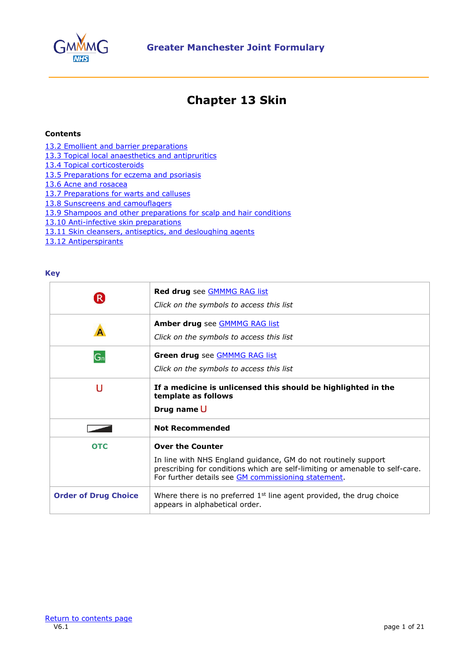

## **Chapter 13 Skin**

## <span id="page-0-0"></span>**Contents**

- [13.2 Emollient and barrier preparations](#page-1-0)
- [13.3 Topical local anaesthetics and antipruritics](#page-3-0)
- [13.4 Topical corticosteroids](#page-4-0)
- [13.5 Preparations for eczema and psoriasis](#page-6-0)
- [13.6 Acne and rosacea](#page-11-0)
- [13.7 Preparations for warts and calluses](#page-14-0)
- [13.8 Sunscreens and camouflagers](#page-15-0)
- [13.9 Shampoos and other preparations for scalp and hair conditions](#page-16-0)
- [13.10 Anti-infective skin preparations](#page-17-0)
- [13.11 Skin cleansers, antiseptics, and desloughing agents](#page-19-0)
- [13.12 Antiperspirants](#page-20-0)

## **Key**

| $\mathsf{R}$                | <b>Red drug</b> see <b>GMMMG</b> RAG list<br>Click on the symbols to access this list                                                                                                                                            |
|-----------------------------|----------------------------------------------------------------------------------------------------------------------------------------------------------------------------------------------------------------------------------|
|                             | Amber drug see GMMMG RAG list<br>Click on the symbols to access this list                                                                                                                                                        |
| G <sub>n</sub>              | Green drug see <b>GMMMG RAG list</b><br>Click on the symbols to access this list                                                                                                                                                 |
| U                           | If a medicine is unlicensed this should be highlighted in the<br>template as follows<br>Drug name U                                                                                                                              |
|                             | <b>Not Recommended</b>                                                                                                                                                                                                           |
| <b>OTC</b>                  | <b>Over the Counter</b><br>In line with NHS England guidance, GM do not routinely support<br>prescribing for conditions which are self-limiting or amenable to self-care.<br>For further details see GM commissioning statement. |
| <b>Order of Drug Choice</b> | Where there is no preferred $1st$ line agent provided, the drug choice<br>appears in alphabetical order.                                                                                                                         |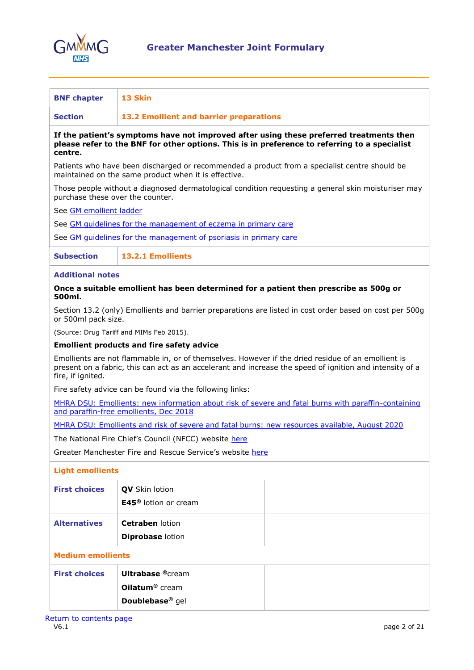

<span id="page-1-0"></span>

| <b>BNF chapter</b>                                                                                                                                                                                                                  | 13 Skin                                                                                                                                                                                  |  |
|-------------------------------------------------------------------------------------------------------------------------------------------------------------------------------------------------------------------------------------|------------------------------------------------------------------------------------------------------------------------------------------------------------------------------------------|--|
| <b>Section</b>                                                                                                                                                                                                                      | 13.2 Emollient and barrier preparations                                                                                                                                                  |  |
| centre.                                                                                                                                                                                                                             | If the patient's symptoms have not improved after using these preferred treatments then<br>please refer to the BNF for other options. This is in preference to referring to a specialist |  |
|                                                                                                                                                                                                                                     | Patients who have been discharged or recommended a product from a specialist centre should be<br>maintained on the same product when it is effective.                                    |  |
| purchase these over the counter.                                                                                                                                                                                                    | Those people without a diagnosed dermatological condition requesting a general skin moisturiser may                                                                                      |  |
| See GM emollient ladder                                                                                                                                                                                                             |                                                                                                                                                                                          |  |
|                                                                                                                                                                                                                                     | See GM quidelines for the management of eczema in primary care                                                                                                                           |  |
|                                                                                                                                                                                                                                     | See GM quidelines for the management of psoriasis in primary care                                                                                                                        |  |
| <b>Subsection</b>                                                                                                                                                                                                                   | 13.2.1 Emollients                                                                                                                                                                        |  |
| <b>Additional notes</b>                                                                                                                                                                                                             |                                                                                                                                                                                          |  |
| 500ml.                                                                                                                                                                                                                              | Once a suitable emollient has been determined for a patient then prescribe as 500g or                                                                                                    |  |
| or 500ml pack size.                                                                                                                                                                                                                 | Section 13.2 (only) Emollients and barrier preparations are listed in cost order based on cost per 500g                                                                                  |  |
|                                                                                                                                                                                                                                     | (Source: Drug Tariff and MIMs Feb 2015).                                                                                                                                                 |  |
|                                                                                                                                                                                                                                     | <b>Emollient products and fire safety advice</b>                                                                                                                                         |  |
| Emollients are not flammable in, or of themselves. However if the dried residue of an emollient is<br>present on a fabric, this can act as an accelerant and increase the speed of ignition and intensity of a<br>fire, if ignited. |                                                                                                                                                                                          |  |
|                                                                                                                                                                                                                                     | Fire safety advice can be found via the following links:                                                                                                                                 |  |
|                                                                                                                                                                                                                                     | MHRA DSU: Emollients: new information about risk of severe and fatal burns with paraffin-containing<br>and paraffin-free emollients, Dec 2018                                            |  |
|                                                                                                                                                                                                                                     | MHRA DSU: Emollients and risk of severe and fatal burns: new resources available, August 2020                                                                                            |  |
| The National Fire Chief's Council (NFCC) website here                                                                                                                                                                               |                                                                                                                                                                                          |  |
|                                                                                                                                                                                                                                     | Greater Manchester Fire and Rescue Service's website here                                                                                                                                |  |
| <b>Light emollients</b>                                                                                                                                                                                                             |                                                                                                                                                                                          |  |
| <b>First choices</b>                                                                                                                                                                                                                |                                                                                                                                                                                          |  |
|                                                                                                                                                                                                                                     | QV Skin lotion<br>E45 <sup>®</sup> lotion or cream                                                                                                                                       |  |
|                                                                                                                                                                                                                                     |                                                                                                                                                                                          |  |
| <b>Alternatives</b>                                                                                                                                                                                                                 | Cetraben lotion                                                                                                                                                                          |  |
|                                                                                                                                                                                                                                     | <b>Diprobase lotion</b>                                                                                                                                                                  |  |
| <b>Medium emollients</b>                                                                                                                                                                                                            |                                                                                                                                                                                          |  |
| <b>First choices</b>                                                                                                                                                                                                                | <b>Ultrabase ®cream</b>                                                                                                                                                                  |  |
|                                                                                                                                                                                                                                     | Oilatum <sup>®</sup> cream                                                                                                                                                               |  |
|                                                                                                                                                                                                                                     | Doublebase <sup>®</sup> gel                                                                                                                                                              |  |
|                                                                                                                                                                                                                                     |                                                                                                                                                                                          |  |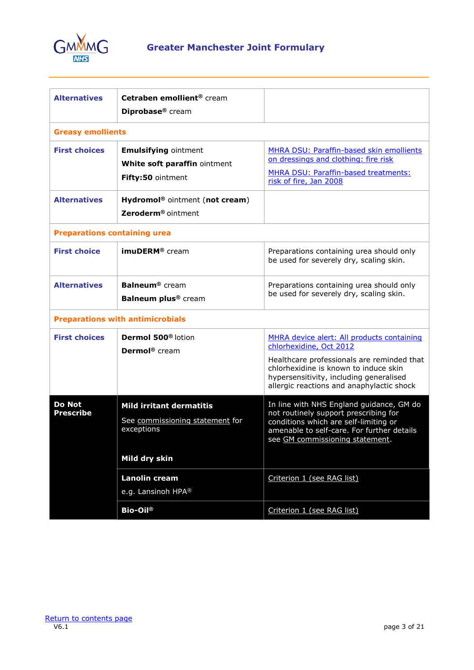

| <b>Alternatives</b>                 | Cetraben emollient <sup>®</sup> cream      |                                                                                                                                |
|-------------------------------------|--------------------------------------------|--------------------------------------------------------------------------------------------------------------------------------|
|                                     | Diprobase <sup>®</sup> cream               |                                                                                                                                |
| <b>Greasy emollients</b>            |                                            |                                                                                                                                |
| <b>First choices</b>                | <b>Emulsifying ointment</b>                | MHRA DSU: Paraffin-based skin emollients                                                                                       |
|                                     | White soft paraffin ointment               | on dressings and clothing: fire risk                                                                                           |
|                                     | Fifty:50 ointment                          | MHRA DSU: Paraffin-based treatments:<br>risk of fire, Jan 2008                                                                 |
| <b>Alternatives</b>                 | Hydromol <sup>®</sup> ointment (not cream) |                                                                                                                                |
|                                     | Zeroderm <sup>®</sup> ointment             |                                                                                                                                |
| <b>Preparations containing urea</b> |                                            |                                                                                                                                |
| <b>First choice</b>                 | imuDERM <sup>®</sup> cream                 | Preparations containing urea should only<br>be used for severely dry, scaling skin.                                            |
| <b>Alternatives</b>                 | <b>Balneum®</b> cream                      | Preparations containing urea should only                                                                                       |
|                                     | Balneum plus <sup>®</sup> cream            | be used for severely dry, scaling skin.                                                                                        |
|                                     | <b>Preparations with antimicrobials</b>    |                                                                                                                                |
| <b>First choices</b>                | Dermol 500 <sup>®</sup> lotion             | MHRA device alert: All products containing                                                                                     |
|                                     | Dermol <sup>®</sup> cream                  | chlorhexidine, Oct 2012                                                                                                        |
|                                     |                                            | Healthcare professionals are reminded that<br>chlorhexidine is known to induce skin<br>hypersensitivity, including generalised |
|                                     |                                            | allergic reactions and anaphylactic shock                                                                                      |
| <b>Do Not</b>                       | <b>Mild irritant dermatitis</b>            | In line with NHS England guidance, GM do                                                                                       |
| <b>Prescribe</b>                    | See commissioning statement for            | not routinely support prescribing for<br>conditions which are self-limiting or                                                 |
|                                     | exceptions                                 | amenable to self-care. For further details<br>see GM commissioning statement.                                                  |
|                                     | Mild dry skin                              |                                                                                                                                |
|                                     | <b>Lanolin cream</b>                       | Criterion 1 (see RAG list)                                                                                                     |
|                                     | e.g. Lansinoh HPA®                         |                                                                                                                                |
|                                     | <b>Bio-Oil®</b>                            | Criterion 1 (see RAG list)                                                                                                     |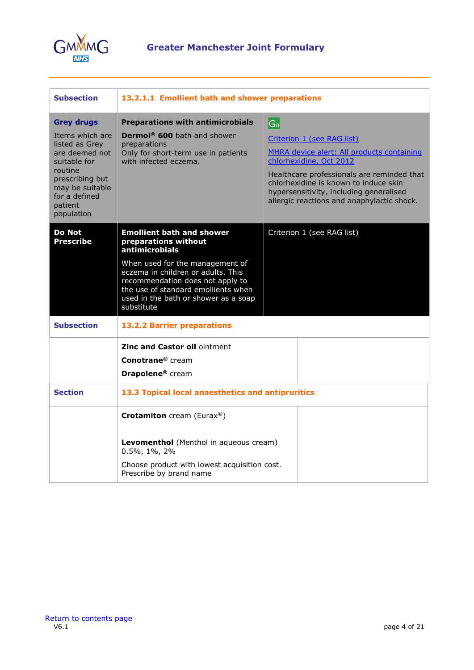

<span id="page-3-0"></span>

| <b>Subsection</b>                                                                                                                                              | 13.2.1.1 Emollient bath and shower preparations                                                                                                                                                        |                                                                                                                                                                                                                                                                                     |
|----------------------------------------------------------------------------------------------------------------------------------------------------------------|--------------------------------------------------------------------------------------------------------------------------------------------------------------------------------------------------------|-------------------------------------------------------------------------------------------------------------------------------------------------------------------------------------------------------------------------------------------------------------------------------------|
| <b>Grey drugs</b>                                                                                                                                              | <b>Preparations with antimicrobials</b>                                                                                                                                                                | $ G_n $                                                                                                                                                                                                                                                                             |
| Items which are<br>listed as Grev<br>are deemed not<br>suitable for<br>routine<br>prescribing but<br>may be suitable<br>for a defined<br>patient<br>population | Dermol <sup>®</sup> 600 bath and shower<br>preparations<br>Only for short-term use in patients<br>with infected eczema.                                                                                | Criterion 1 (see RAG list)<br>MHRA device alert: All products containing<br>chlorhexidine, Oct 2012<br>Healthcare professionals are reminded that<br>chlorhexidine is known to induce skin<br>hypersensitivity, including generalised<br>allergic reactions and anaphylactic shock. |
| Do Not<br><b>Prescribe</b>                                                                                                                                     | <b>Emollient bath and shower</b><br>preparations without<br>antimicrobials                                                                                                                             | Criterion 1 (see RAG list)                                                                                                                                                                                                                                                          |
|                                                                                                                                                                | When used for the management of<br>eczema in children or adults. This<br>recommendation does not apply to<br>the use of standard emollients when<br>used in the bath or shower as a soap<br>substitute |                                                                                                                                                                                                                                                                                     |
| <b>Subsection</b>                                                                                                                                              | <b>13.2.2 Barrier preparations</b>                                                                                                                                                                     |                                                                                                                                                                                                                                                                                     |
|                                                                                                                                                                | <b>Zinc and Castor oil ointment</b>                                                                                                                                                                    |                                                                                                                                                                                                                                                                                     |
|                                                                                                                                                                | Conotrane <sup>®</sup> cream<br>Drapolene <sup>®</sup> cream                                                                                                                                           |                                                                                                                                                                                                                                                                                     |
| <b>Section</b>                                                                                                                                                 | 13.3 Topical local anaesthetics and antipruritics                                                                                                                                                      |                                                                                                                                                                                                                                                                                     |
|                                                                                                                                                                | <b>Crotamiton</b> cream (Eurax®)                                                                                                                                                                       |                                                                                                                                                                                                                                                                                     |
|                                                                                                                                                                | Levomenthol (Menthol in aqueous cream)<br>0.5%, 1%, 2%                                                                                                                                                 |                                                                                                                                                                                                                                                                                     |
|                                                                                                                                                                | Choose product with lowest acquisition cost.<br>Prescribe by brand name                                                                                                                                |                                                                                                                                                                                                                                                                                     |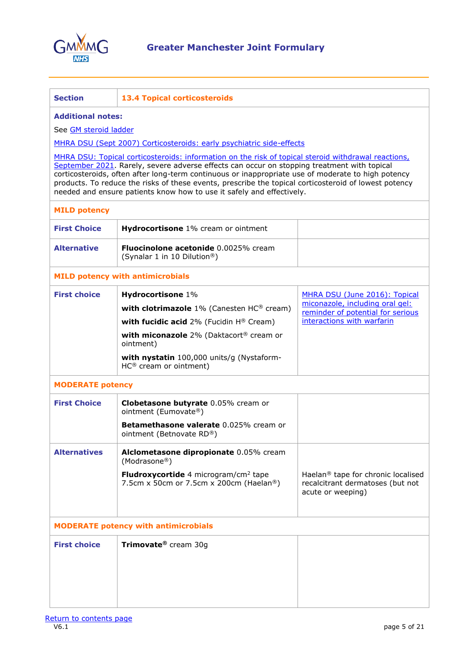

<span id="page-4-0"></span>

| <b>Section</b>                                                                                                                                                                                                                                                                                                                                                                                                                                                                             | <b>13.4 Topical corticosteroids</b>                                                                |                                                                                                         |
|--------------------------------------------------------------------------------------------------------------------------------------------------------------------------------------------------------------------------------------------------------------------------------------------------------------------------------------------------------------------------------------------------------------------------------------------------------------------------------------------|----------------------------------------------------------------------------------------------------|---------------------------------------------------------------------------------------------------------|
| <b>Additional notes:</b>                                                                                                                                                                                                                                                                                                                                                                                                                                                                   |                                                                                                    |                                                                                                         |
| See <b>GM</b> steroid ladder                                                                                                                                                                                                                                                                                                                                                                                                                                                               |                                                                                                    |                                                                                                         |
|                                                                                                                                                                                                                                                                                                                                                                                                                                                                                            | MHRA DSU (Sept 2007) Corticosteroids: early psychiatric side-effects                               |                                                                                                         |
| MHRA DSU: Topical corticosteroids: information on the risk of topical steroid withdrawal reactions,<br>September 2021. Rarely, severe adverse effects can occur on stopping treatment with topical<br>corticosteroids, often after long-term continuous or inappropriate use of moderate to high potency<br>products. To reduce the risks of these events, prescribe the topical corticosteroid of lowest potency<br>needed and ensure patients know how to use it safely and effectively. |                                                                                                    |                                                                                                         |
| <b>MILD potency</b>                                                                                                                                                                                                                                                                                                                                                                                                                                                                        |                                                                                                    |                                                                                                         |
| <b>First Choice</b>                                                                                                                                                                                                                                                                                                                                                                                                                                                                        | Hydrocortisone 1% cream or ointment                                                                |                                                                                                         |
| <b>Alternative</b>                                                                                                                                                                                                                                                                                                                                                                                                                                                                         | Fluocinolone acetonide 0.0025% cream<br>(Synalar 1 in 10 Dilution®)                                |                                                                                                         |
|                                                                                                                                                                                                                                                                                                                                                                                                                                                                                            | <b>MILD potency with antimicrobials</b>                                                            |                                                                                                         |
| <b>First choice</b>                                                                                                                                                                                                                                                                                                                                                                                                                                                                        | Hydrocortisone 1%                                                                                  | MHRA DSU (June 2016): Topical                                                                           |
|                                                                                                                                                                                                                                                                                                                                                                                                                                                                                            | with clotrimazole $1\%$ (Canesten HC® cream)                                                       | miconazole, including oral gel:<br>reminder of potential for serious                                    |
|                                                                                                                                                                                                                                                                                                                                                                                                                                                                                            | with fucidic acid 2% (Fucidin H® Cream)                                                            | interactions with warfarin                                                                              |
|                                                                                                                                                                                                                                                                                                                                                                                                                                                                                            | with miconazole 2% (Daktacort® cream or<br>ointment)                                               |                                                                                                         |
|                                                                                                                                                                                                                                                                                                                                                                                                                                                                                            | with nystatin 100,000 units/g (Nystaform-<br>$HC^{\circledR}$ cream or ointment)                   |                                                                                                         |
| <b>MODERATE potency</b>                                                                                                                                                                                                                                                                                                                                                                                                                                                                    |                                                                                                    |                                                                                                         |
| <b>First Choice</b>                                                                                                                                                                                                                                                                                                                                                                                                                                                                        | Clobetasone butyrate 0.05% cream or<br>ointment (Eumovate®)                                        |                                                                                                         |
|                                                                                                                                                                                                                                                                                                                                                                                                                                                                                            | Betamethasone valerate 0.025% cream or<br>ointment (Betnovate RD®)                                 |                                                                                                         |
| <b>Alternatives</b>                                                                                                                                                                                                                                                                                                                                                                                                                                                                        | Alclometasone dipropionate 0.05% cream<br>(Modrasone®)                                             |                                                                                                         |
|                                                                                                                                                                                                                                                                                                                                                                                                                                                                                            | <b>Fludroxycortide</b> 4 microgram/cm <sup>2</sup> tape<br>7.5cm x 50cm or 7.5cm x 200cm (Haelan®) | Haelan <sup>®</sup> tape for chronic localised<br>recalcitrant dermatoses (but not<br>acute or weeping) |
| <b>MODERATE potency with antimicrobials</b>                                                                                                                                                                                                                                                                                                                                                                                                                                                |                                                                                                    |                                                                                                         |
| <b>First choice</b>                                                                                                                                                                                                                                                                                                                                                                                                                                                                        | Trimovate <sup>®</sup> cream 30g                                                                   |                                                                                                         |
|                                                                                                                                                                                                                                                                                                                                                                                                                                                                                            |                                                                                                    |                                                                                                         |
|                                                                                                                                                                                                                                                                                                                                                                                                                                                                                            |                                                                                                    |                                                                                                         |
|                                                                                                                                                                                                                                                                                                                                                                                                                                                                                            |                                                                                                    |                                                                                                         |
|                                                                                                                                                                                                                                                                                                                                                                                                                                                                                            |                                                                                                    |                                                                                                         |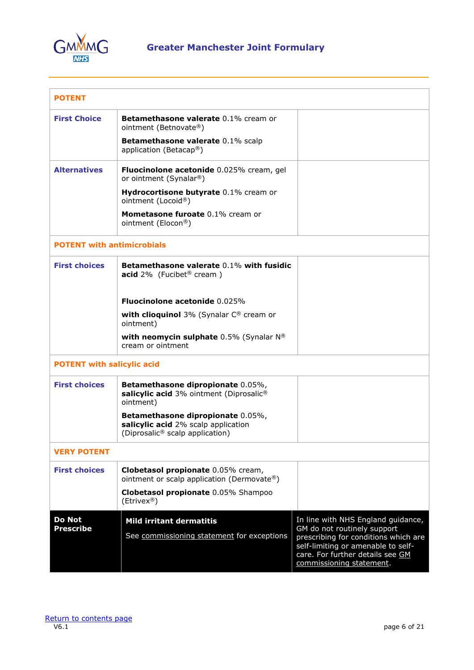

| <b>POTENT</b>                     |                                                                                                                         |                                                                                                                                                                                                                 |
|-----------------------------------|-------------------------------------------------------------------------------------------------------------------------|-----------------------------------------------------------------------------------------------------------------------------------------------------------------------------------------------------------------|
| <b>First Choice</b>               | <b>Betamethasone valerate 0.1% cream or</b><br>ointment (Betnovate®)                                                    |                                                                                                                                                                                                                 |
|                                   | Betamethasone valerate 0.1% scalp<br>application (Betacap <sup>®</sup> )                                                |                                                                                                                                                                                                                 |
| <b>Alternatives</b>               | Fluocinolone acetonide 0.025% cream, gel<br>or ointment (Synalar®)                                                      |                                                                                                                                                                                                                 |
|                                   | Hydrocortisone butyrate 0.1% cream or<br>ointment (Locoid®)                                                             |                                                                                                                                                                                                                 |
|                                   | <b>Mometasone furoate 0.1% cream or</b><br>ointment (Elocon®)                                                           |                                                                                                                                                                                                                 |
| <b>POTENT with antimicrobials</b> |                                                                                                                         |                                                                                                                                                                                                                 |
| <b>First choices</b>              | Betamethasone valerate 0.1% with fusidic<br>acid $2\%$ (Fucibet <sup>®</sup> cream)                                     |                                                                                                                                                                                                                 |
|                                   | <b>Fluocinolone acetonide 0.025%</b>                                                                                    |                                                                                                                                                                                                                 |
|                                   | with clioquinol 3% (Synalar C® cream or<br>ointment)                                                                    |                                                                                                                                                                                                                 |
|                                   | with neomycin sulphate 0.5% (Synalar N®<br>cream or ointment                                                            |                                                                                                                                                                                                                 |
| <b>POTENT with salicylic acid</b> |                                                                                                                         |                                                                                                                                                                                                                 |
| <b>First choices</b>              | Betamethasone dipropionate 0.05%,<br>salicylic acid 3% ointment (Diprosalic®<br>ointment)                               |                                                                                                                                                                                                                 |
|                                   | Betamethasone dipropionate 0.05%,<br>salicylic acid 2% scalp application<br>(Diprosalic <sup>®</sup> scalp application) |                                                                                                                                                                                                                 |
| <b>VERY POTENT</b>                |                                                                                                                         |                                                                                                                                                                                                                 |
| <b>First choices</b>              | Clobetasol propionate 0.05% cream,<br>ointment or scalp application (Dermovate®)                                        |                                                                                                                                                                                                                 |
|                                   | Clobetasol propionate 0.05% Shampoo<br>(Etrivex <sup>®</sup> )                                                          |                                                                                                                                                                                                                 |
| <b>Do Not</b><br><b>Prescribe</b> | <b>Mild irritant dermatitis</b><br>See commissioning statement for exceptions                                           | In line with NHS England guidance,<br>GM do not routinely support<br>prescribing for conditions which are<br>self-limiting or amenable to self-<br>care. For further details see GM<br>commissioning statement. |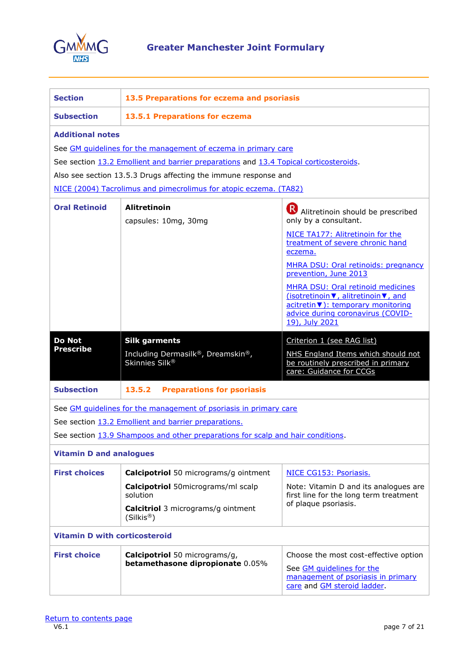

<span id="page-6-0"></span>

| <b>Section</b>                                                                                                                                                                                                                                                                                                             | 13.5 Preparations for eczema and psoriasis                                                                                                                                                                                                                                                                                                                                                                                                    |                                                                                                                                         |
|----------------------------------------------------------------------------------------------------------------------------------------------------------------------------------------------------------------------------------------------------------------------------------------------------------------------------|-----------------------------------------------------------------------------------------------------------------------------------------------------------------------------------------------------------------------------------------------------------------------------------------------------------------------------------------------------------------------------------------------------------------------------------------------|-----------------------------------------------------------------------------------------------------------------------------------------|
| <b>Subsection</b>                                                                                                                                                                                                                                                                                                          | 13.5.1 Preparations for eczema                                                                                                                                                                                                                                                                                                                                                                                                                |                                                                                                                                         |
| <b>Additional notes</b><br>See GM quidelines for the management of eczema in primary care<br>See section 13.2 Emollient and barrier preparations and 13.4 Topical corticosteroids.<br>Also see section 13.5.3 Drugs affecting the immune response and<br>NICE (2004) Tacrolimus and pimecrolimus for atopic eczema. (TA82) |                                                                                                                                                                                                                                                                                                                                                                                                                                               |                                                                                                                                         |
| <b>Oral Retinoid</b>                                                                                                                                                                                                                                                                                                       | <b>Alitretinoin</b><br>Alitretinoin should be prescribed<br>capsules: 10mg, 30mg<br>only by a consultant.<br>NICE TA177: Alitretinoin for the<br>treatment of severe chronic hand<br>eczema.<br>MHRA DSU: Oral retinoids: pregnancy<br>prevention, June 2013<br><b>MHRA DSU: Oral retinoid medicines</b><br>(isotretinoin ▼, alitretinoin ▼, and<br>acitretin v): temporary monitoring<br>advice during coronavirus (COVID-<br>19), July 2021 |                                                                                                                                         |
| <b>Do Not</b><br><b>Prescribe</b>                                                                                                                                                                                                                                                                                          | <b>Silk garments</b><br>Including Dermasilk®, Dreamskin®,<br>Skinnies Silk <sup>®</sup>                                                                                                                                                                                                                                                                                                                                                       | Criterion 1 (see RAG list)<br>NHS England Items which should not<br>be routinely prescribed in primary<br>care: Guidance for CCGs       |
| <b>Subsection</b>                                                                                                                                                                                                                                                                                                          | <b>Preparations for psoriasis</b><br>13.5.2                                                                                                                                                                                                                                                                                                                                                                                                   |                                                                                                                                         |
| See GM quidelines for the management of psoriasis in primary care<br>See section 13.2 Emollient and barrier preparations.<br>See section 13.9 Shampoos and other preparations for scalp and hair conditions.                                                                                                               |                                                                                                                                                                                                                                                                                                                                                                                                                                               |                                                                                                                                         |
| <b>Vitamin D and analogues</b>                                                                                                                                                                                                                                                                                             |                                                                                                                                                                                                                                                                                                                                                                                                                                               |                                                                                                                                         |
| <b>First choices</b>                                                                                                                                                                                                                                                                                                       | <b>Calcipotriol</b> 50 micrograms/g ointment<br><b>Calcipotriol</b> 50micrograms/ml scalp<br>solution<br><b>Calcitriol</b> 3 micrograms/g ointment<br>(Silkis <sup>®</sup> )                                                                                                                                                                                                                                                                  | NICE CG153: Psoriasis.<br>Note: Vitamin D and its analogues are<br>first line for the long term treatment<br>of plaque psoriasis.       |
| <b>Vitamin D with corticosteroid</b>                                                                                                                                                                                                                                                                                       |                                                                                                                                                                                                                                                                                                                                                                                                                                               |                                                                                                                                         |
| <b>First choice</b>                                                                                                                                                                                                                                                                                                        | <b>Calcipotriol</b> 50 micrograms/g,<br>betamethasone dipropionate 0.05%                                                                                                                                                                                                                                                                                                                                                                      | Choose the most cost-effective option<br>See GM quidelines for the<br>management of psoriasis in primary<br>care and GM steroid ladder. |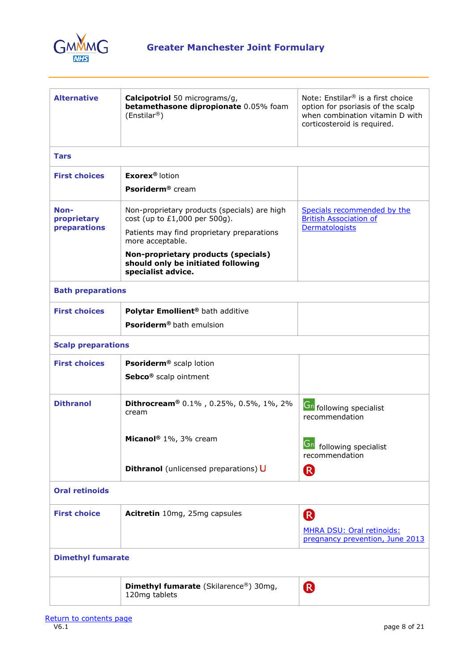

| <b>Alternative</b>                  | Calcipotriol 50 micrograms/g,<br>betamethasone dipropionate 0.05% foam<br>(Enstilar <sup>®</sup> )                               | Note: Enstilar <sup>®</sup> is a first choice<br>option for psoriasis of the scalp<br>when combination vitamin D with<br>corticosteroid is required. |
|-------------------------------------|----------------------------------------------------------------------------------------------------------------------------------|------------------------------------------------------------------------------------------------------------------------------------------------------|
| <b>Tars</b>                         |                                                                                                                                  |                                                                                                                                                      |
| <b>First choices</b>                | <b>Exorex<sup>®</sup></b> lotion                                                                                                 |                                                                                                                                                      |
|                                     | <b>Psoriderm®</b> cream                                                                                                          |                                                                                                                                                      |
| Non-<br>proprietary<br>preparations | Non-proprietary products (specials) are high<br>cost (up to $£1,000$ per $500g$ ).<br>Patients may find proprietary preparations | Specials recommended by the<br><b>British Association of</b><br>Dermatologists                                                                       |
|                                     | more acceptable.                                                                                                                 |                                                                                                                                                      |
|                                     | Non-proprietary products (specials)<br>should only be initiated following<br>specialist advice.                                  |                                                                                                                                                      |
| <b>Bath preparations</b>            |                                                                                                                                  |                                                                                                                                                      |
| <b>First choices</b>                | Polytar Emollient <sup>®</sup> bath additive                                                                                     |                                                                                                                                                      |
|                                     | <b>Psoriderm<sup>®</sup></b> bath emulsion                                                                                       |                                                                                                                                                      |
| <b>Scalp preparations</b>           |                                                                                                                                  |                                                                                                                                                      |
| <b>First choices</b>                | <b>Psoriderm®</b> scalp lotion                                                                                                   |                                                                                                                                                      |
|                                     | Sebco <sup>®</sup> scalp ointment                                                                                                |                                                                                                                                                      |
| <b>Dithranol</b>                    | Dithrocream® 0.1%, 0.25%, 0.5%, 1%, 2%<br>cream                                                                                  | <b>Gn</b> following specialist<br>recommendation                                                                                                     |
|                                     | Micanol <sup>®</sup> 1%, 3% cream                                                                                                | Gn following specialist<br>recommendation                                                                                                            |
|                                     | Dithranol (unlicensed preparations) U                                                                                            | <sup>R</sup>                                                                                                                                         |
| <b>Oral retinoids</b>               |                                                                                                                                  |                                                                                                                                                      |
| <b>First choice</b>                 | Acitretin 10mg, 25mg capsules                                                                                                    | R                                                                                                                                                    |
|                                     |                                                                                                                                  | MHRA DSU: Oral retinoids:<br>pregnancy prevention, June 2013                                                                                         |
| <b>Dimethyl fumarate</b>            |                                                                                                                                  |                                                                                                                                                      |
|                                     | <b>Dimethyl fumarate</b> (Skilarence®) 30mg,<br>120mg tablets                                                                    | <sup>R</sup>                                                                                                                                         |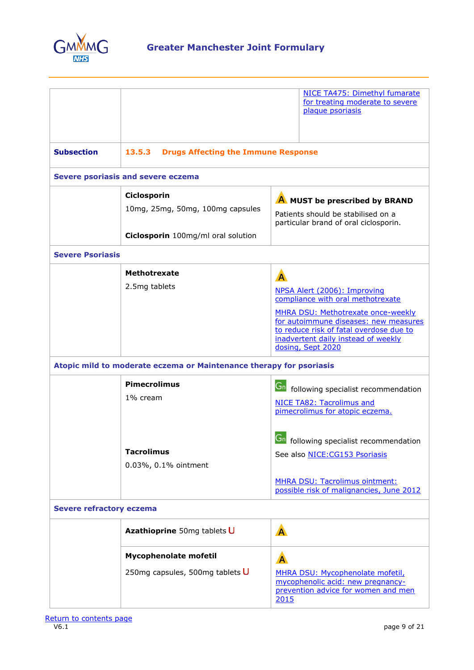

|                                 |                                                                     |              | NICE TA475: Dimethyl fumarate<br>for treating moderate to severe<br>plaque psoriasis                                                                                               |
|---------------------------------|---------------------------------------------------------------------|--------------|------------------------------------------------------------------------------------------------------------------------------------------------------------------------------------|
| <b>Subsection</b>               | 13.5.3<br><b>Drugs Affecting the Immune Response</b>                |              |                                                                                                                                                                                    |
|                                 | Severe psoriasis and severe eczema                                  |              |                                                                                                                                                                                    |
|                                 | Ciclosporin                                                         |              | A MUST be prescribed by BRAND                                                                                                                                                      |
|                                 | 10mg, 25mg, 50mg, 100mg capsules                                    |              | Patients should be stabilised on a<br>particular brand of oral ciclosporin.                                                                                                        |
|                                 | Ciclosporin 100mg/ml oral solution                                  |              |                                                                                                                                                                                    |
| <b>Severe Psoriasis</b>         |                                                                     |              |                                                                                                                                                                                    |
|                                 | <b>Methotrexate</b>                                                 | $\mathbf{A}$ |                                                                                                                                                                                    |
|                                 | 2.5mg tablets                                                       |              | NPSA Alert (2006): Improving<br>compliance with oral methotrexate                                                                                                                  |
|                                 |                                                                     |              | MHRA DSU: Methotrexate once-weekly<br>for autoimmune diseases: new measures<br>to reduce risk of fatal overdose due to<br>inadvertent daily instead of weekly<br>dosing, Sept 2020 |
|                                 | Atopic mild to moderate eczema or Maintenance therapy for psoriasis |              |                                                                                                                                                                                    |
|                                 | <b>Pimecrolimus</b><br>1% cream                                     | $G_n$        | following specialist recommendation<br><b>NICE TA82: Tacrolimus and</b><br>pimecrolimus for atopic eczema.                                                                         |
|                                 | <b>Tacrolimus</b><br>0.03%, 0.1% ointment                           |              | $\overline{G}$ following specialist recommendation<br>See also NICE: CG153 Psoriasis                                                                                               |
|                                 |                                                                     |              | <b>MHRA DSU: Tacrolimus ointment:</b><br>possible risk of malignancies, June 2012                                                                                                  |
| <b>Severe refractory eczema</b> |                                                                     |              |                                                                                                                                                                                    |
|                                 | Azathioprine 50mg tablets U                                         | A            |                                                                                                                                                                                    |
|                                 | <b>Mycophenolate mofetil</b>                                        | A            |                                                                                                                                                                                    |
|                                 | 250mg capsules, 500mg tablets U                                     | 2015         | MHRA DSU: Mycophenolate mofetil,<br>mycophenolic acid: new pregnancy-<br>prevention advice for women and men                                                                       |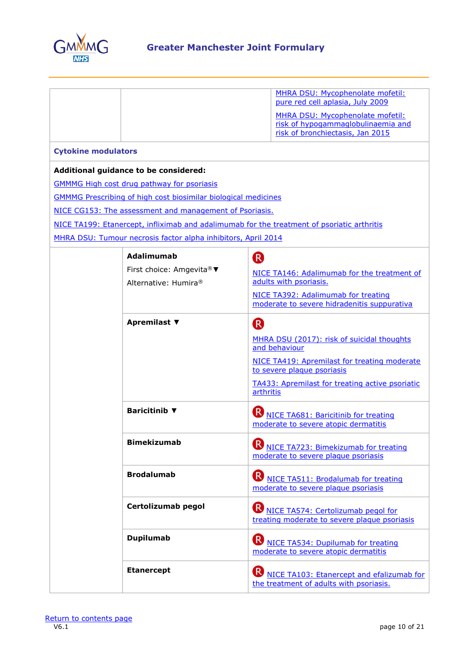

|                            |                                                                       | MHRA DSU: Mycophenolate mofetil:<br>pure red cell aplasia, July 2009                             |
|----------------------------|-----------------------------------------------------------------------|--------------------------------------------------------------------------------------------------|
|                            |                                                                       | MHRA DSU: Mycophenolate mofetil:                                                                 |
|                            |                                                                       | risk of hypogammaglobulinaemia and<br>risk of bronchiectasis, Jan 2015                           |
|                            |                                                                       |                                                                                                  |
| <b>Cytokine modulators</b> |                                                                       |                                                                                                  |
|                            | Additional guidance to be considered:                                 |                                                                                                  |
|                            | <b>GMMMG High cost drug pathway for psoriasis</b>                     |                                                                                                  |
|                            | <b>GMMMG Prescribing of high cost biosimilar biological medicines</b> |                                                                                                  |
|                            | NICE CG153: The assessment and management of Psoriasis.               |                                                                                                  |
|                            |                                                                       | NICE TA199: Etanercept, infliximab and adalimumab for the treatment of psoriatic arthritis       |
|                            | MHRA DSU: Tumour necrosis factor alpha inhibitors, April 2014         |                                                                                                  |
|                            | <b>Adalimumab</b>                                                     | R                                                                                                |
|                            | First choice: Amgevita® ▼                                             | NICE TA146: Adalimumab for the treatment of                                                      |
|                            | Alternative: Humira®                                                  | adults with psoriasis.                                                                           |
|                            |                                                                       | NICE TA392: Adalimumab for treating<br>moderate to severe hidradenitis suppurativa               |
|                            | Apremilast ▼                                                          | (R)                                                                                              |
|                            |                                                                       | MHRA DSU (2017): risk of suicidal thoughts<br>and behaviour                                      |
|                            |                                                                       | NICE TA419: Apremilast for treating moderate<br>to severe plaque psoriasis                       |
|                            |                                                                       | <b>TA433: Apremilast for treating active psoriatic</b><br>arthritis                              |
|                            | <b>Baricitinib</b> ▼                                                  | <b>W</b> NICE TA681: Baricitinib for treating<br>moderate to severe atopic dermatitis            |
|                            | <b>Bimekizumab</b>                                                    | <b>Contract</b><br>N NICE TA723: Bimekizumab for treating<br>moderate to severe plaque psoriasis |
|                            | <b>Brodalumab</b>                                                     | <b>B</b> NICE TA511: Brodalumab for treating<br>moderate to severe plaque psoriasis              |
|                            | Certolizumab pegol                                                    | N <sub>NICE</sub> TA574: Certolizumab pegol for<br>treating moderate to severe plaque psoriasis  |
|                            | <b>Dupilumab</b>                                                      | <b>B</b> NICE TA534: Dupilumab for treating<br>moderate to severe atopic dermatitis              |
|                            | <b>Etanercept</b>                                                     | <b>B</b> NICE TA103: Etanercept and efalizumab for<br>the treatment of adults with psoriasis.    |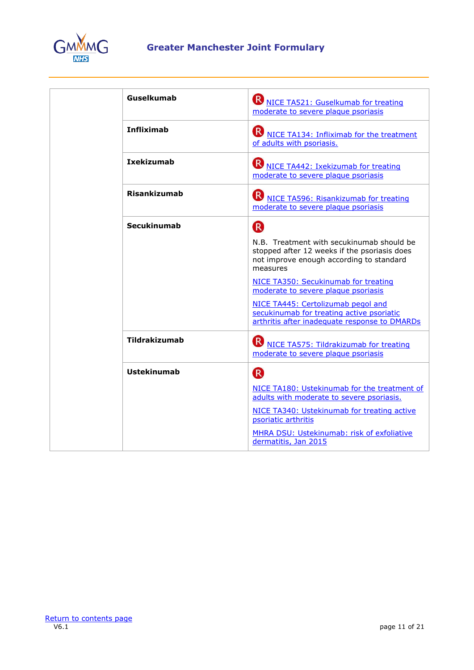

| Guselkumab         | <b>W</b> NICE TA521: Guselkumab for treating<br>moderate to severe plaque psoriasis                                                               |
|--------------------|---------------------------------------------------------------------------------------------------------------------------------------------------|
| <b>Infliximab</b>  | <b>B</b> NICE TA134: Infliximab for the treatment<br>of adults with psoriasis.                                                                    |
| <b>Ixekizumab</b>  | <b>B</b> NICE TA442: Ixekizumab for treating<br>moderate to severe plaque psoriasis                                                               |
| Risankizumab       | <b>B</b> NICE TA596: Risankizumab for treating<br>moderate to severe plaque psoriasis                                                             |
| <b>Secukinumab</b> | <sup>R</sup>                                                                                                                                      |
|                    | N.B. Treatment with secukinumab should be<br>stopped after 12 weeks if the psoriasis does<br>not improve enough according to standard<br>measures |
|                    | NICE TA350: Secukinumab for treating<br>moderate to severe plaque psoriasis                                                                       |
|                    | NICE TA445: Certolizumab pegol and<br>secukinumab for treating active psoriatic<br>arthritis after inadequate response to DMARDs                  |
| Tildrakizumab      | <b>B</b> NICE TA575: Tildrakizumab for treating<br>moderate to severe plaque psoriasis                                                            |
| <b>Ustekinumab</b> | R                                                                                                                                                 |
|                    | NICE TA180: Ustekinumab for the treatment of<br>adults with moderate to severe psoriasis.                                                         |
|                    | NICE TA340: Ustekinumab for treating active<br>psoriatic arthritis                                                                                |
|                    | MHRA DSU: Ustekinumab: risk of exfoliative<br>dermatitis, Jan 2015                                                                                |
|                    |                                                                                                                                                   |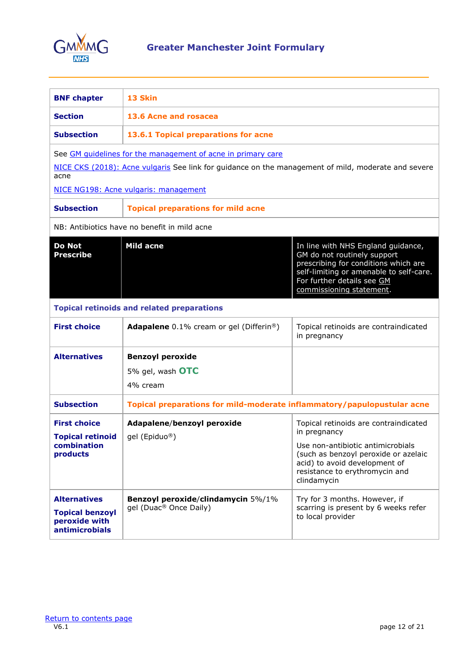

<span id="page-11-0"></span>

| <b>BNF</b> chapter                                                                      | 13 Skin                                                                                             |                                                                                                                                                                                                                |
|-----------------------------------------------------------------------------------------|-----------------------------------------------------------------------------------------------------|----------------------------------------------------------------------------------------------------------------------------------------------------------------------------------------------------------------|
| <b>Section</b>                                                                          | 13.6 Acne and rosacea                                                                               |                                                                                                                                                                                                                |
| <b>Subsection</b>                                                                       | 13.6.1 Topical preparations for acne                                                                |                                                                                                                                                                                                                |
|                                                                                         | See GM quidelines for the management of acne in primary care                                        |                                                                                                                                                                                                                |
| acne                                                                                    | NICE CKS (2018): Acne vulgaris See link for guidance on the management of mild, moderate and severe |                                                                                                                                                                                                                |
|                                                                                         | NICE NG198: Acne vulgaris: management                                                               |                                                                                                                                                                                                                |
| <b>Subsection</b>                                                                       | <b>Topical preparations for mild acne</b>                                                           |                                                                                                                                                                                                                |
|                                                                                         | NB: Antibiotics have no benefit in mild acne                                                        |                                                                                                                                                                                                                |
| <b>Do Not</b><br><b>Prescribe</b>                                                       | <b>Mild acne</b>                                                                                    | In line with NHS England guidance,<br>GM do not routinely support<br>prescribing for conditions which are<br>self-limiting or amenable to self-care.<br>For further details see GM<br>commissioning statement. |
|                                                                                         | <b>Topical retinoids and related preparations</b>                                                   |                                                                                                                                                                                                                |
| <b>First choice</b>                                                                     | <b>Adapalene</b> 0.1% cream or gel (Differin <sup>®</sup> )                                         | Topical retinoids are contraindicated<br>in pregnancy                                                                                                                                                          |
| <b>Alternatives</b>                                                                     | <b>Benzoyl peroxide</b>                                                                             |                                                                                                                                                                                                                |
|                                                                                         | 5% gel, wash OTC                                                                                    |                                                                                                                                                                                                                |
|                                                                                         | 4% cream                                                                                            |                                                                                                                                                                                                                |
| <b>Subsection</b>                                                                       | Topical preparations for mild-moderate inflammatory/papulopustular acne                             |                                                                                                                                                                                                                |
| <b>First choice</b>                                                                     | Adapalene/benzoyl peroxide                                                                          | Topical retinoids are contraindicated<br>in pregnancy                                                                                                                                                          |
| <b>Topical retinoid</b><br>combination<br>products                                      | gel (Epiduo®)                                                                                       | Use non-antibiotic antimicrobials<br>(such as benzoyl peroxide or azelaic<br>acid) to avoid development of<br>resistance to erythromycin and<br>clindamycin                                                    |
| <b>Alternatives</b><br><b>Topical benzoyl</b><br>peroxide with<br><b>antimicrobials</b> | Benzoyl peroxide/clindamycin 5%/1%<br>gel (Duac <sup>®</sup> Once Daily)                            | Try for 3 months. However, if<br>scarring is present by 6 weeks refer<br>to local provider                                                                                                                     |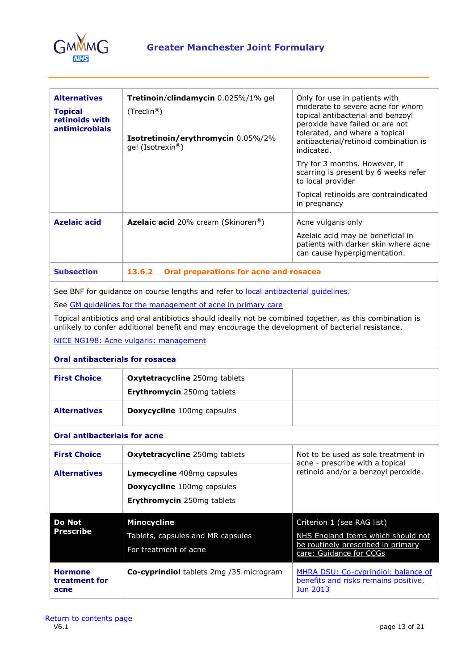

| <b>Alternatives</b><br><b>Topical</b><br>retinoids with<br><b>antimicrobials</b>                                                                                                                                                                                                                                                                                                                             | Tretinoin/clindamycin 0.025%/1% gel<br>(Treclin <sup>®</sup> )<br>Isotretinoin/erythromycin 0.05%/2%<br>gel (Isotrexin®) | Only for use in patients with<br>moderate to severe acne for whom<br>topical antibacterial and benzoyl<br>peroxide have failed or are not<br>tolerated, and where a topical<br>antibacterial/retinoid combination is<br>indicated.<br>Try for 3 months. However, if<br>scarring is present by 6 weeks refer<br>to local provider<br>Topical retinoids are contraindicated<br>in pregnancy |  |
|--------------------------------------------------------------------------------------------------------------------------------------------------------------------------------------------------------------------------------------------------------------------------------------------------------------------------------------------------------------------------------------------------------------|--------------------------------------------------------------------------------------------------------------------------|-------------------------------------------------------------------------------------------------------------------------------------------------------------------------------------------------------------------------------------------------------------------------------------------------------------------------------------------------------------------------------------------|--|
| <b>Azelaic acid</b>                                                                                                                                                                                                                                                                                                                                                                                          | Azelaic acid 20% cream (Skinoren®)                                                                                       | Acne vulgaris only<br>Azelaic acid may be beneficial in<br>patients with darker skin where acne<br>can cause hyperpigmentation.                                                                                                                                                                                                                                                           |  |
| <b>Subsection</b>                                                                                                                                                                                                                                                                                                                                                                                            | 13.6.2<br>Oral preparations for acne and rosacea                                                                         |                                                                                                                                                                                                                                                                                                                                                                                           |  |
| See BNF for guidance on course lengths and refer to local antibacterial quidelines.<br>See GM guidelines for the management of acne in primary care<br>Topical antibiotics and oral antibiotics should ideally not be combined together, as this combination is<br>unlikely to confer additional benefit and may encourage the development of bacterial resistance.<br>NICE NG198: Acne vulgaris: management |                                                                                                                          |                                                                                                                                                                                                                                                                                                                                                                                           |  |
| <b>Oral antibacterials for rosacea</b>                                                                                                                                                                                                                                                                                                                                                                       |                                                                                                                          |                                                                                                                                                                                                                                                                                                                                                                                           |  |
| <b>First Choice</b>                                                                                                                                                                                                                                                                                                                                                                                          | Oxytetracycline 250mg tablets<br>Erythromycin 250mg tablets                                                              |                                                                                                                                                                                                                                                                                                                                                                                           |  |
| <b>Alternatives</b>                                                                                                                                                                                                                                                                                                                                                                                          | Doxycycline 100mg capsules                                                                                               |                                                                                                                                                                                                                                                                                                                                                                                           |  |
| <b>Oral antibacterials for acne</b>                                                                                                                                                                                                                                                                                                                                                                          |                                                                                                                          |                                                                                                                                                                                                                                                                                                                                                                                           |  |
| <b>First Choice</b>                                                                                                                                                                                                                                                                                                                                                                                          | Oxytetracycline 250mg tablets                                                                                            | Not to be used as sole treatment in                                                                                                                                                                                                                                                                                                                                                       |  |
| <b>Alternatives</b>                                                                                                                                                                                                                                                                                                                                                                                          | Lymecycline 408mg capsules<br>Doxycycline 100mg capsules<br>Erythromycin 250mg tablets                                   | acne - prescribe with a topical<br>retinoid and/or a benzoyl peroxide.                                                                                                                                                                                                                                                                                                                    |  |
| <b>Do Not</b><br><b>Prescribe</b>                                                                                                                                                                                                                                                                                                                                                                            | <b>Minocycline</b><br>Tablets, capsules and MR capsules<br>For treatment of acne                                         | Criterion 1 (see RAG list)<br>NHS England Items which should not<br>be routinely prescribed in primary<br>care: Guidance for CCGs                                                                                                                                                                                                                                                         |  |
| <b>Hormone</b><br>treatment for<br>acne                                                                                                                                                                                                                                                                                                                                                                      | Co-cyprindiol tablets 2mg /35 microgram                                                                                  | MHRA DSU: Co-cyprindiol: balance of<br>benefits and risks remains positive,<br><b>Jun 2013</b>                                                                                                                                                                                                                                                                                            |  |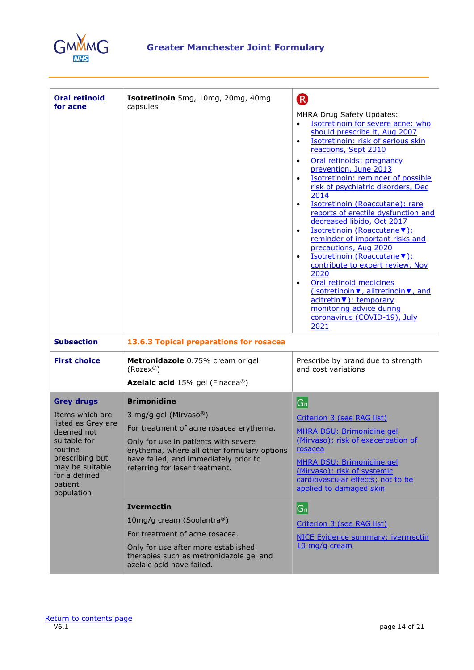

| <b>Oral retinoid</b><br>for acne                                                                                                                                                    | Isotretinoin 5mg, 10mg, 20mg, 40mg<br>capsules                                                                                                                                                                                                           | R<br>MHRA Drug Safety Updates:<br>Isotretinoin for severe acne: who<br>$\bullet$<br>should prescribe it, Aug 2007<br>Isotretinoin: risk of serious skin<br>$\bullet$<br>reactions, Sept 2010<br>Oral retinoids: pregnancy<br>$\bullet$<br>prevention, June 2013<br>Isotretinoin: reminder of possible<br>risk of psychiatric disorders, Dec<br>2014<br>Isotretinoin (Roaccutane): rare<br>$\bullet$<br>reports of erectile dysfunction and<br>decreased libido, Oct 2017<br>Isotretinoin (Roaccutane ▼):<br>$\bullet$<br>reminder of important risks and<br>precautions, Aug 2020<br>Isotretinoin (Roaccutane ▼):<br>$\bullet$<br>contribute to expert review, Nov<br>2020<br>Oral retinoid medicines<br>$\bullet$<br>(isotretinoin ▼, alitretinoin ▼, and<br>acitretin ▼): temporary<br>monitoring advice during<br>coronavirus (COVID-19), July<br>2021 |
|-------------------------------------------------------------------------------------------------------------------------------------------------------------------------------------|----------------------------------------------------------------------------------------------------------------------------------------------------------------------------------------------------------------------------------------------------------|-----------------------------------------------------------------------------------------------------------------------------------------------------------------------------------------------------------------------------------------------------------------------------------------------------------------------------------------------------------------------------------------------------------------------------------------------------------------------------------------------------------------------------------------------------------------------------------------------------------------------------------------------------------------------------------------------------------------------------------------------------------------------------------------------------------------------------------------------------------|
| <b>Subsection</b>                                                                                                                                                                   | 13.6.3 Topical preparations for rosacea                                                                                                                                                                                                                  |                                                                                                                                                                                                                                                                                                                                                                                                                                                                                                                                                                                                                                                                                                                                                                                                                                                           |
| <b>First choice</b>                                                                                                                                                                 | Metronidazole 0.75% cream or gel<br>$(Rozex^@)$<br>Azelaic acid 15% gel (Finacea®)                                                                                                                                                                       | Prescribe by brand due to strength<br>and cost variations                                                                                                                                                                                                                                                                                                                                                                                                                                                                                                                                                                                                                                                                                                                                                                                                 |
| <b>Grey drugs</b><br>Items which are<br>listed as Grey are<br>deemed not<br>suitable for<br>routine<br>prescribing but<br>may be suitable<br>for a defined<br>patient<br>population | <b>Brimonidine</b><br>3 mg/g gel (Mirvaso®)<br>For treatment of acne rosacea erythema.<br>Only for use in patients with severe<br>erythema, where all other formulary options<br>have failed, and immediately prior to<br>referring for laser treatment. | $ G_n $<br>Criterion 3 (see RAG list)<br>MHRA DSU: Brimonidine gel<br>(Mirvaso): risk of exacerbation of<br>rosacea<br><b>MHRA DSU: Brimonidine gel</b><br>(Mirvaso): risk of systemic<br>cardiovascular effects; not to be<br>applied to damaged skin                                                                                                                                                                                                                                                                                                                                                                                                                                                                                                                                                                                                    |
|                                                                                                                                                                                     | <b>Ivermectin</b><br>10mg/g cream (Soolantra®)<br>For treatment of acne rosacea.<br>Only for use after more established<br>therapies such as metronidazole gel and<br>azelaic acid have failed.                                                          | $ G_n $<br>Criterion 3 (see RAG list)<br><b>NICE Evidence summary: ivermectin</b><br>10 mg/g cream                                                                                                                                                                                                                                                                                                                                                                                                                                                                                                                                                                                                                                                                                                                                                        |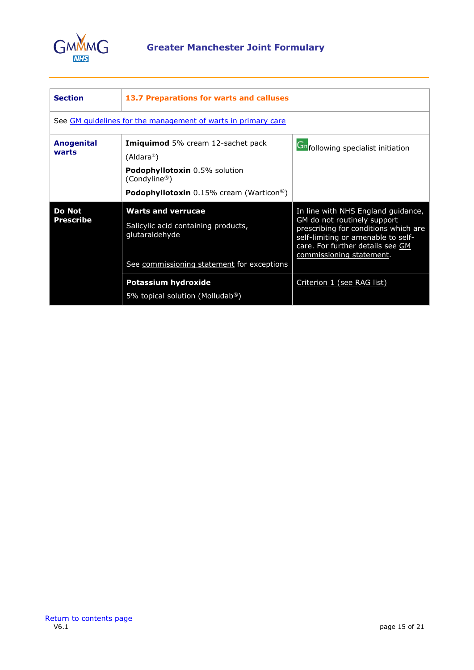

<span id="page-14-0"></span>

| <b>Section</b>             | 13.7 Preparations for warts and calluses                                                                                                                                                  |                                                                                                                                                                                                                 |
|----------------------------|-------------------------------------------------------------------------------------------------------------------------------------------------------------------------------------------|-----------------------------------------------------------------------------------------------------------------------------------------------------------------------------------------------------------------|
|                            | See GM quidelines for the management of warts in primary care                                                                                                                             |                                                                                                                                                                                                                 |
| <b>Anogenital</b><br>warts | <b>Imiquimod</b> 5% cream 12-sachet pack<br>(Aldara <sup>®</sup> )<br><b>Podophyllotoxin</b> 0.5% solution<br>(Condyline®)<br><b>Podophyllotoxin</b> 0.15% cream (Warticon <sup>®</sup> ) | <b>Ch</b> following specialist initiation                                                                                                                                                                       |
| Do Not<br>Prescribe        | <b>Warts and verrucae</b><br>Salicylic acid containing products,<br>glutaraldehyde<br>See commissioning statement for exceptions                                                          | In line with NHS England guidance,<br>GM do not routinely support<br>prescribing for conditions which are<br>self-limiting or amenable to self-<br>care. For further details see GM<br>commissioning statement. |
|                            | Potassium hydroxide<br>5% topical solution (Molludab®)                                                                                                                                    | Criterion 1 (see RAG list)                                                                                                                                                                                      |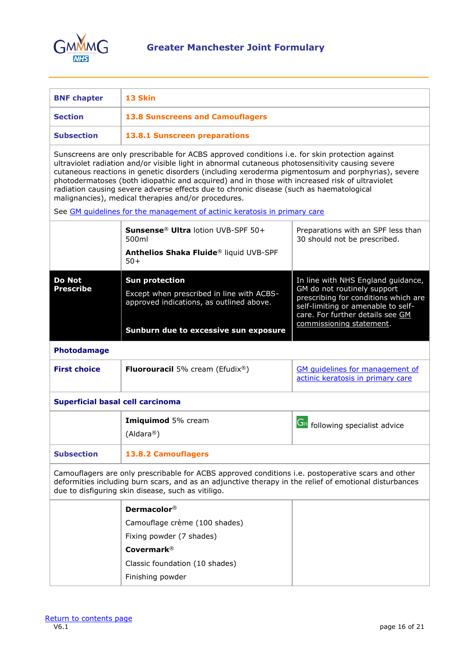

<span id="page-15-0"></span>

| <b>BNF chapter</b>                                                                                                                                                                                                                                                                                                                                                                                                                                                                                                                                          | 13 Skin                                                                                                        |                                                                                                                                                                                                                 |  |
|-------------------------------------------------------------------------------------------------------------------------------------------------------------------------------------------------------------------------------------------------------------------------------------------------------------------------------------------------------------------------------------------------------------------------------------------------------------------------------------------------------------------------------------------------------------|----------------------------------------------------------------------------------------------------------------|-----------------------------------------------------------------------------------------------------------------------------------------------------------------------------------------------------------------|--|
| <b>Section</b>                                                                                                                                                                                                                                                                                                                                                                                                                                                                                                                                              | <b>13.8 Sunscreens and Camouflagers</b>                                                                        |                                                                                                                                                                                                                 |  |
| <b>Subsection</b>                                                                                                                                                                                                                                                                                                                                                                                                                                                                                                                                           | 13.8.1 Sunscreen preparations                                                                                  |                                                                                                                                                                                                                 |  |
| Sunscreens are only prescribable for ACBS approved conditions i.e. for skin protection against<br>ultraviolet radiation and/or visible light in abnormal cutaneous photosensitivity causing severe<br>cutaneous reactions in genetic disorders (including xeroderma pigmentosum and porphyrias), severe<br>photodermatoses (both idiopathic and acquired) and in those with increased risk of ultraviolet<br>radiation causing severe adverse effects due to chronic disease (such as haematological<br>malignancies), medical therapies and/or procedures. |                                                                                                                |                                                                                                                                                                                                                 |  |
|                                                                                                                                                                                                                                                                                                                                                                                                                                                                                                                                                             | See GM quidelines for the management of actinic keratosis in primary care                                      |                                                                                                                                                                                                                 |  |
|                                                                                                                                                                                                                                                                                                                                                                                                                                                                                                                                                             | Sunsense <sup>®</sup> Ultra lotion UVB-SPF 50+<br>500ml<br>Anthelios Shaka Fluide® liquid UVB-SPF              | Preparations with an SPF less than<br>30 should not be prescribed.                                                                                                                                              |  |
|                                                                                                                                                                                                                                                                                                                                                                                                                                                                                                                                                             | $50+$                                                                                                          |                                                                                                                                                                                                                 |  |
| <b>Do Not</b><br><b>Prescribe</b>                                                                                                                                                                                                                                                                                                                                                                                                                                                                                                                           | <b>Sun protection</b><br>Except when prescribed in line with ACBS-<br>approved indications, as outlined above. | In line with NHS England guidance,<br>GM do not routinely support<br>prescribing for conditions which are<br>self-limiting or amenable to self-<br>care. For further details see GM<br>commissioning statement. |  |
|                                                                                                                                                                                                                                                                                                                                                                                                                                                                                                                                                             | Sunburn due to excessive sun exposure                                                                          |                                                                                                                                                                                                                 |  |
| Photodamage                                                                                                                                                                                                                                                                                                                                                                                                                                                                                                                                                 |                                                                                                                |                                                                                                                                                                                                                 |  |
| <b>First choice</b>                                                                                                                                                                                                                                                                                                                                                                                                                                                                                                                                         | <b>Fluorouracil</b> 5% cream (Efudix®)                                                                         | <b>GM</b> quidelines for management of<br>actinic keratosis in primary care                                                                                                                                     |  |
| <b>Superficial basal cell carcinoma</b>                                                                                                                                                                                                                                                                                                                                                                                                                                                                                                                     |                                                                                                                |                                                                                                                                                                                                                 |  |
|                                                                                                                                                                                                                                                                                                                                                                                                                                                                                                                                                             | Imiquimod 5% cream<br>(Aldara <sup>®</sup> )                                                                   | <b>Gn</b> following specialist advice                                                                                                                                                                           |  |
| <b>Subsection</b><br><b>13.8.2 Camouflagers</b>                                                                                                                                                                                                                                                                                                                                                                                                                                                                                                             |                                                                                                                |                                                                                                                                                                                                                 |  |
| Camouflagers are only prescribable for ACBS approved conditions i.e. postoperative scars and other<br>deformities including burn scars, and as an adjunctive therapy in the relief of emotional disturbances<br>due to disfiguring skin disease, such as vitiligo.                                                                                                                                                                                                                                                                                          |                                                                                                                |                                                                                                                                                                                                                 |  |
|                                                                                                                                                                                                                                                                                                                                                                                                                                                                                                                                                             | Dermacolor <sup>®</sup>                                                                                        |                                                                                                                                                                                                                 |  |
|                                                                                                                                                                                                                                                                                                                                                                                                                                                                                                                                                             | Camouflage crème (100 shades)                                                                                  |                                                                                                                                                                                                                 |  |
|                                                                                                                                                                                                                                                                                                                                                                                                                                                                                                                                                             | Fixing powder (7 shades)                                                                                       |                                                                                                                                                                                                                 |  |
|                                                                                                                                                                                                                                                                                                                                                                                                                                                                                                                                                             | <b>Covermark®</b>                                                                                              |                                                                                                                                                                                                                 |  |
|                                                                                                                                                                                                                                                                                                                                                                                                                                                                                                                                                             | Classic foundation (10 shades)                                                                                 |                                                                                                                                                                                                                 |  |
|                                                                                                                                                                                                                                                                                                                                                                                                                                                                                                                                                             | Finishing powder                                                                                               |                                                                                                                                                                                                                 |  |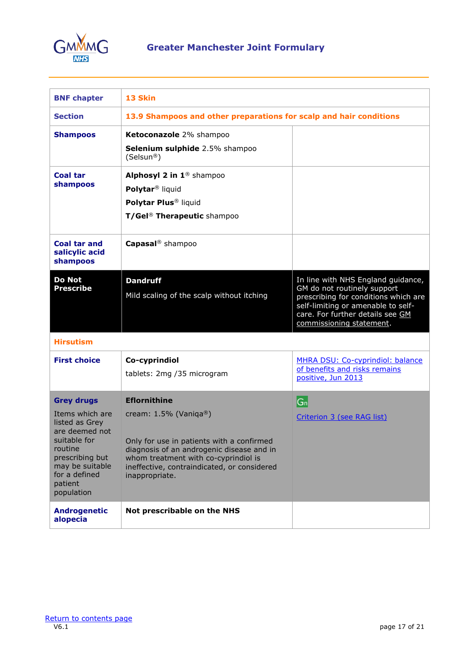

<span id="page-16-0"></span>

| <b>BNF chapter</b>                                                                                                                                                                  | 13 Skin                                                                                                                                                                                                                                            |                                                                                                                                                                                                                 |
|-------------------------------------------------------------------------------------------------------------------------------------------------------------------------------------|----------------------------------------------------------------------------------------------------------------------------------------------------------------------------------------------------------------------------------------------------|-----------------------------------------------------------------------------------------------------------------------------------------------------------------------------------------------------------------|
| <b>Section</b>                                                                                                                                                                      | 13.9 Shampoos and other preparations for scalp and hair conditions                                                                                                                                                                                 |                                                                                                                                                                                                                 |
| <b>Shampoos</b>                                                                                                                                                                     | Ketoconazole 2% shampoo<br>Selenium sulphide 2.5% shampoo<br>(Selsun®)                                                                                                                                                                             |                                                                                                                                                                                                                 |
| <b>Coal tar</b><br>shampoos                                                                                                                                                         | Alphosyl 2 in 1 <sup>®</sup> shampoo<br>Polytar <sup>®</sup> liquid<br>Polytar Plus <sup>®</sup> liquid<br>T/Gel <sup>®</sup> Therapeutic shampoo                                                                                                  |                                                                                                                                                                                                                 |
| <b>Coal tar and</b><br>salicylic acid<br>shampoos                                                                                                                                   | Capasal <sup>®</sup> shampoo                                                                                                                                                                                                                       |                                                                                                                                                                                                                 |
| <b>Do Not</b><br><b>Prescribe</b>                                                                                                                                                   | <b>Dandruff</b><br>Mild scaling of the scalp without itching                                                                                                                                                                                       | In line with NHS England guidance,<br>GM do not routinely support<br>prescribing for conditions which are<br>self-limiting or amenable to self-<br>care. For further details see GM<br>commissioning statement. |
| <b>Hirsutism</b>                                                                                                                                                                    |                                                                                                                                                                                                                                                    |                                                                                                                                                                                                                 |
| <b>First choice</b>                                                                                                                                                                 | Co-cyprindiol<br>tablets: 2mg /35 microgram                                                                                                                                                                                                        | MHRA DSU: Co-cyprindiol: balance<br>of benefits and risks remains<br>positive, Jun 2013                                                                                                                         |
| <b>Grey drugs</b><br>Items which are<br>listed as Grey<br>are deemed not<br>suitable for<br>routine<br>prescribing but<br>may be suitable<br>for a defined<br>patient<br>population | <b>Eflornithine</b><br>cream: $1.5\%$ (Vaniga®)<br>Only for use in patients with a confirmed<br>diagnosis of an androgenic disease and in<br>whom treatment with co-cyprindiol is<br>ineffective, contraindicated, or considered<br>inappropriate. | G <sub>n</sub><br>Criterion 3 (see RAG list)                                                                                                                                                                    |
| <b>Androgenetic</b><br>alopecia                                                                                                                                                     | Not prescribable on the NHS                                                                                                                                                                                                                        |                                                                                                                                                                                                                 |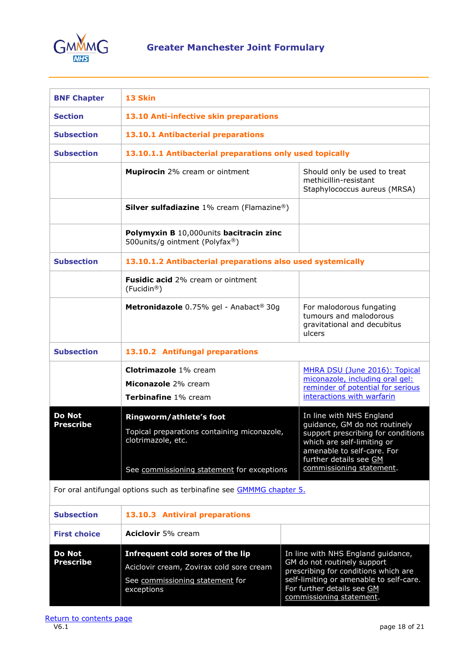

<span id="page-17-0"></span>

| <b>BNF Chapter</b>                                                   | 13 Skin                                                                                                                                    |  |                                                                                                                                                                                                                   |
|----------------------------------------------------------------------|--------------------------------------------------------------------------------------------------------------------------------------------|--|-------------------------------------------------------------------------------------------------------------------------------------------------------------------------------------------------------------------|
| <b>Section</b>                                                       | 13.10 Anti-infective skin preparations                                                                                                     |  |                                                                                                                                                                                                                   |
| <b>Subsection</b>                                                    | 13.10.1 Antibacterial preparations                                                                                                         |  |                                                                                                                                                                                                                   |
| <b>Subsection</b>                                                    | 13.10.1.1 Antibacterial preparations only used topically                                                                                   |  |                                                                                                                                                                                                                   |
|                                                                      | Mupirocin 2% cream or ointment                                                                                                             |  | Should only be used to treat<br>methicillin-resistant<br>Staphylococcus aureus (MRSA)                                                                                                                             |
|                                                                      | <b>Silver sulfadiazine</b> 1% cream (Flamazine®)                                                                                           |  |                                                                                                                                                                                                                   |
|                                                                      | Polymyxin B 10,000units bacitracin zinc<br>500units/g ointment (Polyfax®)                                                                  |  |                                                                                                                                                                                                                   |
| <b>Subsection</b>                                                    | 13.10.1.2 Antibacterial preparations also used systemically                                                                                |  |                                                                                                                                                                                                                   |
|                                                                      | Fusidic acid 2% cream or ointment<br>(Fucidin®)                                                                                            |  |                                                                                                                                                                                                                   |
|                                                                      | Metronidazole 0.75% gel - Anabact® 30g                                                                                                     |  | For malodorous fungating<br>tumours and malodorous<br>gravitational and decubitus<br>ulcers                                                                                                                       |
| <b>Subsection</b>                                                    | 13.10.2 Antifungal preparations                                                                                                            |  |                                                                                                                                                                                                                   |
|                                                                      | <b>Clotrimazole</b> 1% cream<br>Miconazole 2% cream<br>Terbinafine 1% cream                                                                |  | MHRA DSU (June 2016): Topical<br>miconazole, including oral gel:<br>reminder of potential for serious<br>interactions with warfarin                                                                               |
| <b>Do Not</b><br><b>Prescribe</b>                                    | Ringworm/athlete's foot<br>Topical preparations containing miconazole,<br>clotrimazole, etc.<br>See commissioning statement for exceptions |  | In line with NHS England<br>guidance, GM do not routinely<br>support prescribing for conditions<br>which are self-limiting or<br>amenable to self-care. For<br>further details see GM<br>commissioning statement. |
| For oral antifungal options such as terbinafine see GMMMG chapter 5. |                                                                                                                                            |  |                                                                                                                                                                                                                   |
| <b>Subsection</b>                                                    | 13.10.3 Antiviral preparations                                                                                                             |  |                                                                                                                                                                                                                   |
| <b>First choice</b>                                                  | <b>Aciclovir</b> 5% cream                                                                                                                  |  |                                                                                                                                                                                                                   |
| <b>Do Not</b><br><b>Prescribe</b>                                    | Infrequent cold sores of the lip<br>Aciclovir cream, Zovirax cold sore cream<br>See commissioning statement for<br>exceptions              |  | In line with NHS England guidance,<br>GM do not routinely support<br>prescribing for conditions which are<br>self-limiting or amenable to self-care.<br>For further details see GM<br>commissioning statement.    |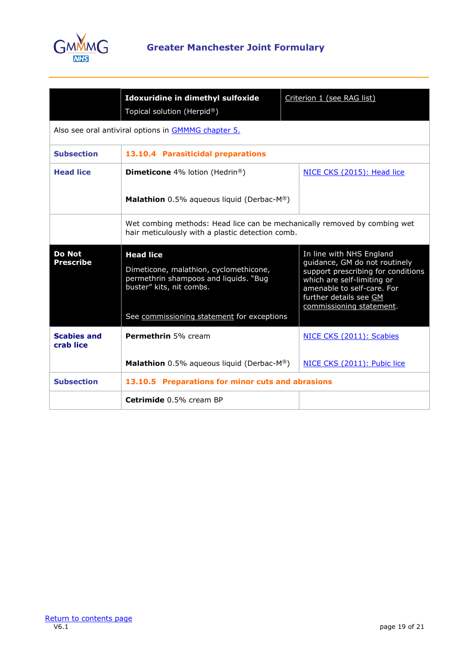

|                                   | Idoxuridine in dimethyl sulfoxide<br>Topical solution (Herpid®)                                                                                                               | Criterion 1 (see RAG list)                                                                                                                                                                                        |  |
|-----------------------------------|-------------------------------------------------------------------------------------------------------------------------------------------------------------------------------|-------------------------------------------------------------------------------------------------------------------------------------------------------------------------------------------------------------------|--|
|                                   | Also see oral antiviral options in GMMMG chapter 5.                                                                                                                           |                                                                                                                                                                                                                   |  |
| <b>Subsection</b>                 | 13.10.4 Parasiticidal preparations                                                                                                                                            |                                                                                                                                                                                                                   |  |
| <b>Head lice</b>                  | <b>Dimeticone</b> 4% lotion (Hedrin <sup>®</sup> )                                                                                                                            | NICE CKS (2015): Head lice                                                                                                                                                                                        |  |
|                                   | <b>Malathion</b> 0.5% aqueous liquid (Derbac- $M^{\circledR}$ )                                                                                                               |                                                                                                                                                                                                                   |  |
|                                   | Wet combing methods: Head lice can be mechanically removed by combing wet<br>hair meticulously with a plastic detection comb.                                                 |                                                                                                                                                                                                                   |  |
| <b>Do Not</b><br><b>Prescribe</b> | <b>Head lice</b><br>Dimeticone, malathion, cyclomethicone,<br>permethrin shampoos and liquids. "Bug<br>buster" kits, nit combs.<br>See commissioning statement for exceptions | In line with NHS England<br>guidance, GM do not routinely<br>support prescribing for conditions<br>which are self-limiting or<br>amenable to self-care. For<br>further details see GM<br>commissioning statement. |  |
| <b>Scabies and</b><br>crab lice   | Permethrin 5% cream                                                                                                                                                           | NICE CKS (2011): Scabies                                                                                                                                                                                          |  |
|                                   | <b>Malathion</b> 0.5% aqueous liquid (Derbac- $M^{\circledR}$ )                                                                                                               | NICE CKS (2011): Pubic lice                                                                                                                                                                                       |  |
| <b>Subsection</b>                 | 13.10.5 Preparations for minor cuts and abrasions                                                                                                                             |                                                                                                                                                                                                                   |  |
|                                   | Cetrimide 0.5% cream BP                                                                                                                                                       |                                                                                                                                                                                                                   |  |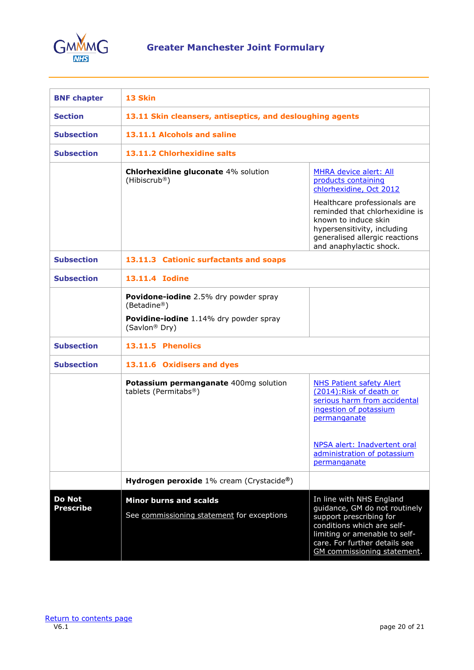

<span id="page-19-0"></span>

| <b>BNF chapter</b>  | 13 Skin                                                                                                                     |                                                                                                                                                                                                                                     |  |
|---------------------|-----------------------------------------------------------------------------------------------------------------------------|-------------------------------------------------------------------------------------------------------------------------------------------------------------------------------------------------------------------------------------|--|
| <b>Section</b>      | 13.11 Skin cleansers, antiseptics, and desloughing agents                                                                   |                                                                                                                                                                                                                                     |  |
| <b>Subsection</b>   | 13.11.1 Alcohols and saline                                                                                                 |                                                                                                                                                                                                                                     |  |
| <b>Subsection</b>   | 13.11.2 Chlorhexidine salts                                                                                                 |                                                                                                                                                                                                                                     |  |
|                     | <b>Chlorhexidine gluconate 4% solution</b><br>(Hibiscrub <sup>®</sup> )                                                     | MHRA device alert: All<br>products containing<br>chlorhexidine, Oct 2012<br>Healthcare professionals are<br>reminded that chlorhexidine is<br>known to induce skin<br>hypersensitivity, including<br>generalised allergic reactions |  |
| <b>Subsection</b>   | and anaphylactic shock.<br>13.11.3 Cationic surfactants and soaps                                                           |                                                                                                                                                                                                                                     |  |
| <b>Subsection</b>   | 13.11.4 Iodine                                                                                                              |                                                                                                                                                                                                                                     |  |
|                     | Povidone-iodine 2.5% dry powder spray<br>(Betadine®)<br>Povidine-iodine 1.14% dry powder spray<br>(Savlon <sup>®</sup> Dry) |                                                                                                                                                                                                                                     |  |
| <b>Subsection</b>   | 13.11.5 Phenolics                                                                                                           |                                                                                                                                                                                                                                     |  |
| <b>Subsection</b>   | 13.11.6 Oxidisers and dyes                                                                                                  |                                                                                                                                                                                                                                     |  |
|                     | Potassium permanganate 400mg solution<br>tablets (Permitabs®)                                                               | <b>NHS Patient safety Alert</b><br>(2014): Risk of death or<br>serious harm from accidental<br>ingestion of potassium<br>permanganate<br>NPSA alert: Inadvertent oral<br>administration of potassium                                |  |
|                     |                                                                                                                             | permanganate                                                                                                                                                                                                                        |  |
|                     | <b>Hydrogen peroxide</b> $1\%$ cream (Crystacide <sup>®</sup> )                                                             |                                                                                                                                                                                                                                     |  |
| Do Not<br>Prescribe | <b>Minor burns and scalds</b><br>See commissioning statement for exceptions                                                 | In line with NHS England<br>guidance, GM do not routinely<br>support prescribing for<br>conditions which are self-<br>limiting or amenable to self-<br>care. For further details see<br>GM commissioning statement.                 |  |